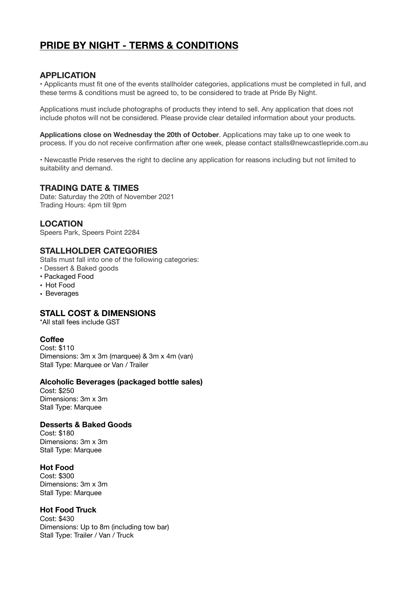# **PRIDE BY NIGHT - TERMS & CONDITIONS**

# **APPLICATION**

• Applicants must fit one of the events stallholder categories, applications must be completed in full, and these terms & conditions must be agreed to, to be considered to trade at Pride By Night.

Applications must include photographs of products they intend to sell. Any application that does not include photos will not be considered. Please provide clear detailed information about your products.

**Applications close on Wednesday the 20th of October**. Applications may take up to one week to process. If you do not receive confirmation after one week, please contact stalls@newcastlepride.com.au

• Newcastle Pride reserves the right to decline any application for reasons including but not limited to suitability and demand.

# **TRADING DATE & TIMES**

Date: Saturday the 20th of November 2021 Trading Hours: 4pm till 9pm

# **LOCATION**

Speers Park, Speers Point 2284

# **STALLHOLDER CATEGORIES**

Stalls must fall into one of the following categories:

- Dessert & Baked goods
- Packaged Food
- Hot Food
- Beverages

# **STALL COST & DIMENSIONS**

\*All stall fees include GST

# **Coffee**

Cost: \$110 Dimensions: 3m x 3m (marquee) & 3m x 4m (van) Stall Type: Marquee or Van / Trailer

#### **Alcoholic Beverages (packaged bottle sales)**

Cost: \$250 Dimensions: 3m x 3m Stall Type: Marquee

# **Desserts & Baked Goods**

Cost: \$180 Dimensions: 3m x 3m Stall Type: Marquee

# **Hot Food**

Cost: \$300 Dimensions: 3m x 3m Stall Type: Marquee

#### **Hot Food Truck**

Cost: \$430 Dimensions: Up to 8m (including tow bar) Stall Type: Trailer / Van / Truck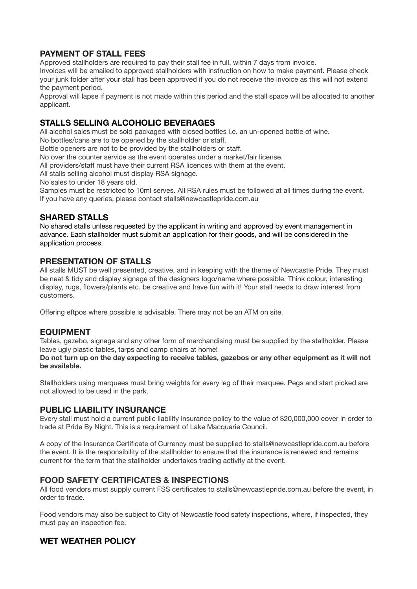# **PAYMENT OF STALL FEES**

Approved stallholders are required to pay their stall fee in full, within 7 days from invoice.

Invoices will be emailed to approved stallholders with instruction on how to make payment. Please check your junk folder after your stall has been approved if you do not receive the invoice as this will not extend the payment period.

Approval will lapse if payment is not made within this period and the stall space will be allocated to another applicant.

# **STALLS SELLING ALCOHOLIC BEVERAGES**

All alcohol sales must be sold packaged with closed bottles i.e. an un-opened bottle of wine.

No bottles/cans are to be opened by the stallholder or staff.

Bottle openers are not to be provided by the stallholders or staff.

No over the counter service as the event operates under a market/fair license.

All providers/staff must have their current RSA licences with them at the event.

All stalls selling alcohol must display RSA signage.

No sales to under 18 years old.

Samples must be restricted to 10ml serves. All RSA rules must be followed at all times during the event. If you have any queries, please contact stalls@newcastlepride.com.au

# **SHARED STALLS**

No shared stalls unless requested by the applicant in writing and approved by event management in advance. Each stallholder must submit an application for their goods, and will be considered in the application process.

# **PRESENTATION OF STALLS**

All stalls MUST be well presented, creative, and in keeping with the theme of Newcastle Pride. They must be neat & tidy and display signage of the designers logo/name where possible. Think colour, interesting display, rugs, flowers/plants etc. be creative and have fun with it! Your stall needs to draw interest from customers.

Offering eftpos where possible is advisable. There may not be an ATM on site.

# **EQUIPMENT**

Tables, gazebo, signage and any other form of merchandising must be supplied by the stallholder. Please leave ugly plastic tables, tarps and camp chairs at home!

**Do not turn up on the day expecting to receive tables, gazebos or any other equipment as it will not be available.** 

Stallholders using marquees must bring weights for every leg of their marquee. Pegs and start picked are not allowed to be used in the park.

# **PUBLIC LIABILITY INSURANCE**

Every stall must hold a current public liability insurance policy to the value of \$20,000,000 cover in order to trade at Pride By Night. This is a requirement of Lake Macquarie Council.

A copy of the Insurance Certificate of Currency must be supplied to stalls@newcastlepride.com.au before the event. It is the responsibility of the stallholder to ensure that the insurance is renewed and remains current for the term that the stallholder undertakes trading activity at the event.

# **FOOD SAFETY CERTIFICATES & INSPECTIONS**

All food vendors must supply current FSS certificates to stalls@newcastlepride.com.au before the event, in order to trade.

Food vendors may also be subject to City of Newcastle food safety inspections, where, if inspected, they must pay an inspection fee.

# **WET WEATHER POLICY**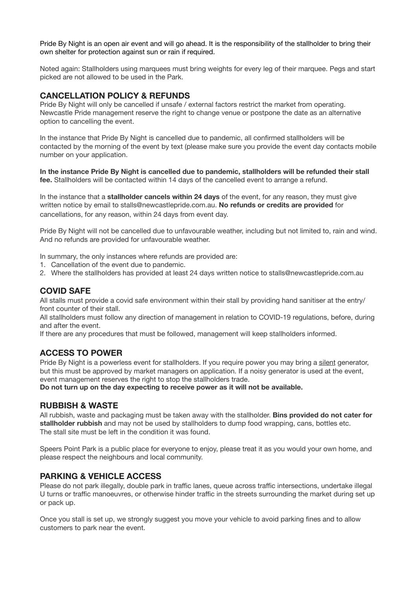Pride By Night is an open air event and will go ahead. It is the responsibility of the stallholder to bring their own shelter for protection against sun or rain if required.

Noted again: Stallholders using marquees must bring weights for every leg of their marquee. Pegs and start picked are not allowed to be used in the Park.

# **CANCELLATION POLICY & REFUNDS**

Pride By Night will only be cancelled if unsafe / external factors restrict the market from operating. Newcastle Pride management reserve the right to change venue or postpone the date as an alternative option to cancelling the event.

In the instance that Pride By Night is cancelled due to pandemic, all confirmed stallholders will be contacted by the morning of the event by text (please make sure you provide the event day contacts mobile number on your application.

**In the instance Pride By Night is cancelled due to pandemic, stallholders will be refunded their stall fee.** Stallholders will be contacted within 14 days of the cancelled event to arrange a refund.

In the instance that a **stallholder cancels within 24 days** of the event, for any reason, they must give written notice by email to stalls@newcastlepride.com.au. **No refunds or credits are provided** for cancellations, for any reason, within 24 days from event day.

Pride By Night will not be cancelled due to unfavourable weather, including but not limited to, rain and wind. And no refunds are provided for unfavourable weather.

In summary, the only instances where refunds are provided are:

- 1. Cancellation of the event due to pandemic.
- 2. Where the stallholders has provided at least 24 days written notice to stalls@newcastlepride.com.au

# **COVID SAFE**

All stalls must provide a covid safe environment within their stall by providing hand sanitiser at the entry/ front counter of their stall.

All stallholders must follow any direction of management in relation to COVID-19 regulations, before, during and after the event.

If there are any procedures that must be followed, management will keep stallholders informed.

# **ACCESS TO POWER**

Pride By Night is a powerless event for stallholders. If you require power you may bring a silent generator, but this must be approved by market managers on application. If a noisy generator is used at the event, event management reserves the right to stop the stallholders trade.

**Do not turn up on the day expecting to receive power as it will not be available.** 

#### **RUBBISH & WASTE**

All rubbish, waste and packaging must be taken away with the stallholder. **Bins provided do not cater for stallholder rubbish** and may not be used by stallholders to dump food wrapping, cans, bottles etc. The stall site must be left in the condition it was found.

Speers Point Park is a public place for everyone to enjoy, please treat it as you would your own home, and please respect the neighbours and local community.

# **PARKING & VEHICLE ACCESS**

Please do not park illegally, double park in traffic lanes, queue across traffic intersections, undertake illegal U turns or traffic manoeuvres, or otherwise hinder traffic in the streets surrounding the market during set up or pack up.

Once you stall is set up, we strongly suggest you move your vehicle to avoid parking fines and to allow customers to park near the event.